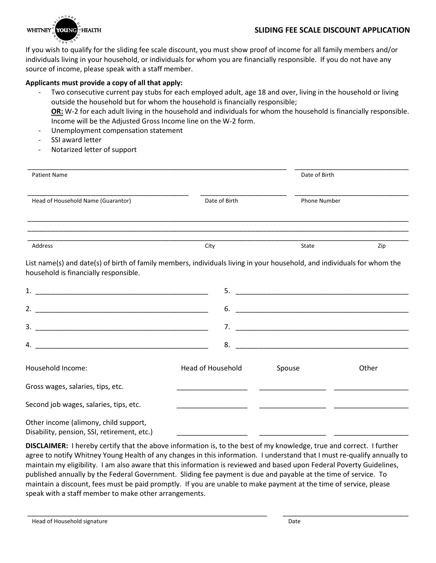

If you wish to qualify for the sliding fee scale discount, you must show proof of income for all family members and/or individuals living in your household, or individuals for whom you are financially responsible. If you do not have any source of income, please speak with a staff member.

## **Applicants must provide a copy of all that apply:**

- Two consecutive current pay stubs for each employed adult, age 18 and over, living in the household or living outside the household but for whom the household is financially responsible; **OR:** W-2 for each adult living in the household and individuals for whom the household is financially responsible. Income will be the Adjusted Gross Income line on the W-2 form.
- Unemployment compensation statement
- SSI award letter
- Notarized letter of support

| <b>Patient Name</b>                                                                                                                                              |                          |                     | Date of Birth |  |
|------------------------------------------------------------------------------------------------------------------------------------------------------------------|--------------------------|---------------------|---------------|--|
| Head of Household Name (Guarantor)                                                                                                                               | Date of Birth            | <b>Phone Number</b> |               |  |
| Address                                                                                                                                                          | City                     | State               | Zip           |  |
| List name(s) and date(s) of birth of family members, individuals living in your household, and individuals for whom the<br>household is financially responsible. |                          |                     |               |  |
|                                                                                                                                                                  |                          |                     |               |  |
|                                                                                                                                                                  | 6.                       |                     |               |  |
| 3.                                                                                                                                                               |                          |                     |               |  |
| 4.                                                                                                                                                               | 8.                       |                     |               |  |
| Household Income:                                                                                                                                                | <b>Head of Household</b> | Spouse              | Other         |  |
| Gross wages, salaries, tips, etc.                                                                                                                                |                          |                     |               |  |
| Second job wages, salaries, tips, etc.                                                                                                                           |                          |                     |               |  |
| Other income (alimony, child support,<br>Disability, pension, SSI, retirement, etc.)                                                                             |                          |                     |               |  |

**DISCLAIMER:** I hereby certify that the above information is, to the best of my knowledge, true and correct. I further agree to notify Whitney Young Health of any changes in this information. I understand that I must re-qualify annually to maintain my eligibility. I am also aware that this information is reviewed and based upon Federal Poverty Guidelines, published annually by the Federal Government. Sliding fee payment is due and payable at the time of service. To maintain a discount, fees must be paid promptly. If you are unable to make payment at the time of service, please speak with a staff member to make other arrangements.

\_\_\_\_\_\_\_\_\_\_\_\_\_\_\_\_\_\_\_\_\_\_\_\_\_\_\_\_\_\_\_\_\_\_\_\_\_\_\_\_\_\_\_\_\_\_\_\_\_\_\_\_\_\_\_\_\_\_\_\_\_ \_\_\_\_\_\_\_\_\_\_\_\_\_\_\_\_\_\_\_\_\_\_\_\_\_\_\_\_\_\_\_\_